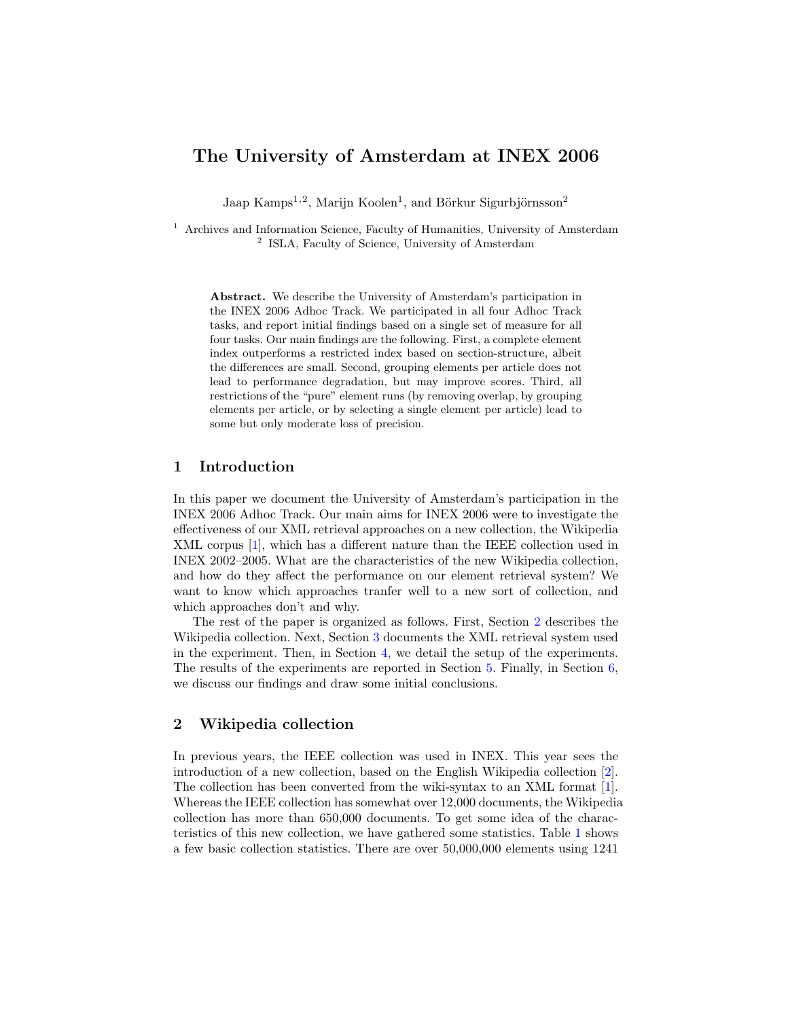# The University of Amsterdam at INEX 2006

Jaap Kamps<sup>1,2</sup>, Marijn Koolen<sup>1</sup>, and Börkur Sigurbjörnsson<sup>2</sup>

<sup>1</sup> Archives and Information Science, Faculty of Humanities, University of Amsterdam <sup>2</sup> ISLA, Faculty of Science, University of Amsterdam

Abstract. We describe the University of Amsterdam's participation in the INEX 2006 Adhoc Track. We participated in all four Adhoc Track tasks, and report initial findings based on a single set of measure for all four tasks. Our main findings are the following. First, a complete element index outperforms a restricted index based on section-structure, albeit the differences are small. Second, grouping elements per article does not lead to performance degradation, but may improve scores. Third, all restrictions of the "pure" element runs (by removing overlap, by grouping elements per article, or by selecting a single element per article) lead to some but only moderate loss of precision.

## 1 Introduction

In this paper we document the University of Amsterdam's participation in the INEX 2006 Adhoc Track. Our main aims for INEX 2006 were to investigate the effectiveness of our XML retrieval approaches on a new collection, the Wikipedia XML corpus [\[1\]](#page-11-0), which has a different nature than the IEEE collection used in INEX 2002–2005. What are the characteristics of the new Wikipedia collection, and how do they affect the performance on our element retrieval system? We want to know which approaches tranfer well to a new sort of collection, and which approaches don't and why.

The rest of the paper is organized as follows. First, Section [2](#page-0-0) describes the Wikipedia collection. Next, Section [3](#page-3-0) documents the XML retrieval system used in the experiment. Then, in Section [4,](#page-4-0) we detail the setup of the experiments. The results of the experiments are reported in Section [5.](#page-6-0) Finally, in Section [6,](#page-10-0) we discuss our findings and draw some initial conclusions.

## <span id="page-0-0"></span>2 Wikipedia collection

In previous years, the IEEE collection was used in INEX. This year sees the introduction of a new collection, based on the English Wikipedia collection [\[2\]](#page-11-1). The collection has been converted from the wiki-syntax to an XML format [\[1\]](#page-11-0). Whereas the IEEE collection has somewhat over 12,000 documents, the Wikipedia collection has more than 650,000 documents. To get some idea of the characteristics of this new collection, we have gathered some statistics. Table [1](#page-1-0) shows a few basic collection statistics. There are over 50,000,000 elements using 1241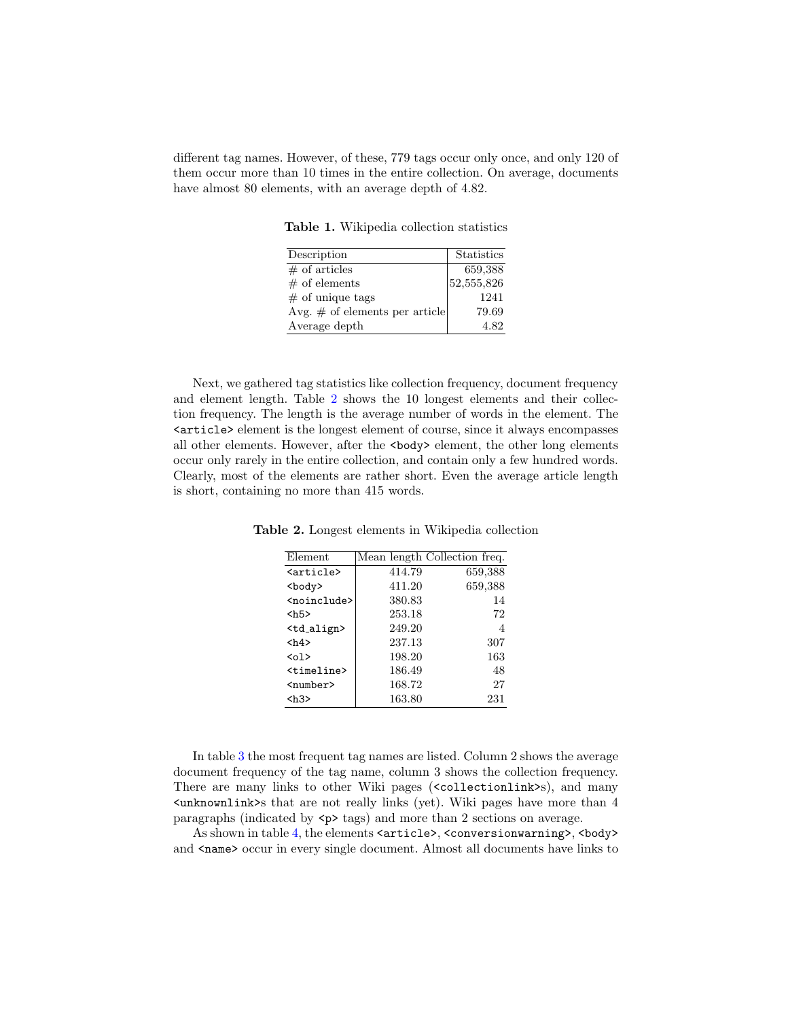different tag names. However, of these, 779 tags occur only once, and only 120 of them occur more than 10 times in the entire collection. On average, documents have almost 80 elements, with an average depth of 4.82.

<span id="page-1-0"></span>Table 1. Wikipedia collection statistics

| Description                       | Statistics |
|-----------------------------------|------------|
| $\#$ of articles                  | 659,388    |
| $#$ of elements                   | 52,555,826 |
| $#$ of unique tags                | 1241       |
| Avg. $\#$ of elements per article | 79.69      |
| Average depth                     | 4.82       |

Next, we gathered tag statistics like collection frequency, document frequency and element length. Table [2](#page-1-1) shows the 10 longest elements and their collection frequency. The length is the average number of words in the element. The <article> element is the longest element of course, since it always encompasses all other elements. However, after the <br/>body> element, the other long elements occur only rarely in the entire collection, and contain only a few hundred words. Clearly, most of the elements are rather short. Even the average article length is short, containing no more than 415 words.

<span id="page-1-1"></span>

| Element                 |        | Mean length Collection freq. |
|-------------------------|--------|------------------------------|
| <article></article>     | 414.79 | 659,388                      |
| <body></body>           | 411.20 | 659,388                      |
| <noinclude></noinclude> | 380.83 | 14                           |
| $<$ h5>                 | 253.18 | 72                           |
| <td_align></td_align>   | 249.20 | 4                            |
| <h4></h4>               | 237.13 | 307                          |
| $01>$                   | 198.20 | 163                          |
| <timeline></timeline>   | 186.49 | 48                           |
| $number$                | 168.72 | 27                           |
| <h3></h3>               | 163.80 | 231                          |

Table 2. Longest elements in Wikipedia collection

In table [3](#page-2-0) the most frequent tag names are listed. Column 2 shows the average document frequency of the tag name, column 3 shows the collection frequency. There are many links to other Wiki pages (<collectionlink>s), and many <unknownlink>s that are not really links (yet). Wiki pages have more than 4 paragraphs (indicated by  $\langle p \rangle$  tags) and more than 2 sections on average.

As shown in table [4,](#page-2-1) the elements <article>, <conversionwarning>, <br/> <br/>body> and <name> occur in every single document. Almost all documents have links to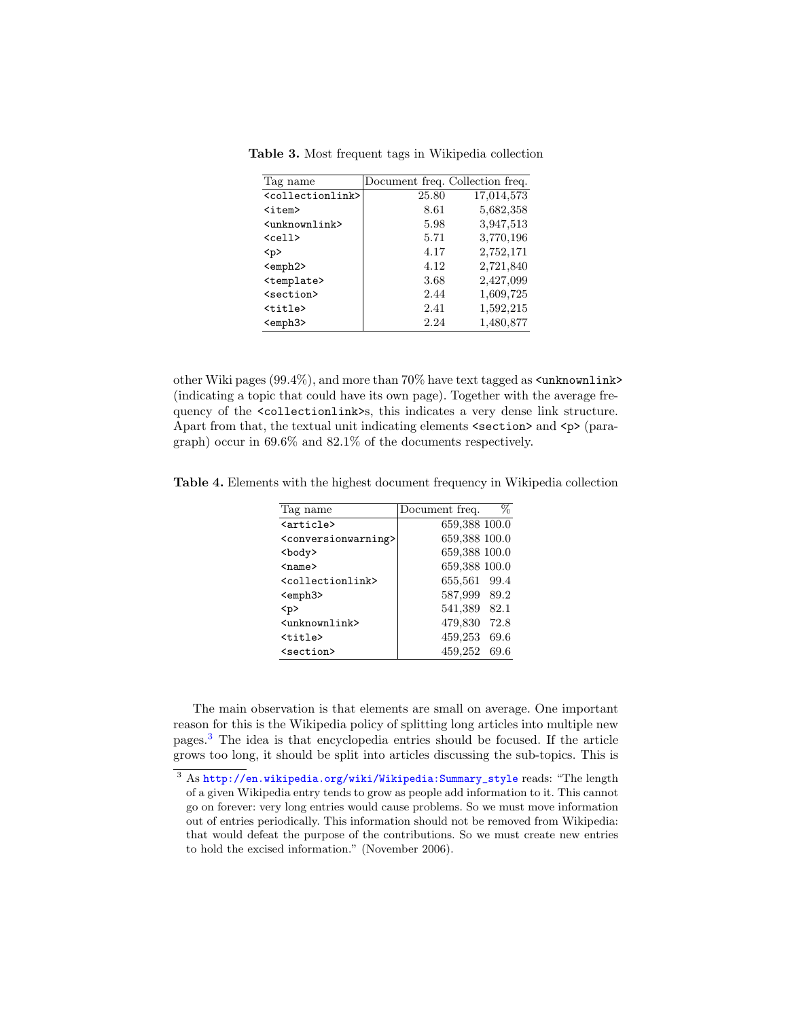Table 3. Most frequent tags in Wikipedia collection

<span id="page-2-0"></span>

| Tag name                          | Document freq. Collection freq. |            |
|-----------------------------------|---------------------------------|------------|
| <collectionlink></collectionlink> | 25.80                           | 17,014,573 |
| $\texttt{item}$                   | 8.61                            | 5,682,358  |
| <unknownlink></unknownlink>       | 5.98                            | 3,947,513  |
| $cell$                            | 5.71                            | 3,770,196  |
| < p >                             | 4.17                            | 2,752,171  |
| <emph2></emph2>                   | 4.12                            | 2,721,840  |
| <template></template>             | 3.68                            | 2,427,099  |
| <section></section>               | 2.44                            | 1,609,725  |
| <title></title>                   | 2.41                            | 1,592,215  |
| <emph3></emph3>                   | 2.24                            | 1,480,877  |

other Wiki pages  $(99.4\%)$ , and more than  $70\%$  have text tagged as  $\langle$ unknownlink> (indicating a topic that could have its own page). Together with the average frequency of the <collectionlink>s, this indicates a very dense link structure. Apart from that, the textual unit indicating elements  $\langle \text{section} \rangle$  and  $\langle \text{p} \rangle$  (paragraph) occur in 69.6% and 82.1% of the documents respectively.

<span id="page-2-1"></span>Table 4. Elements with the highest document frequency in Wikipedia collection

| Tag name                                | Document freq. | %    |
|-----------------------------------------|----------------|------|
| <article></article>                     | 659,388 100.0  |      |
| <conversionwarning></conversionwarning> | 659,388 100.0  |      |
| <body></body>                           | 659,388 100.0  |      |
| $name$                                  | 659,388 100.0  |      |
| <collectionlink></collectionlink>       | 655,561 99.4   |      |
| <emph3></emph3>                         | 587,999 89.2   |      |
| < p                                     | 541,389 82.1   |      |
| <unknownlink></unknownlink>             | 479,830        | 72.8 |
| <title></title>                         | 459,253        | 69.6 |
| <section></section>                     | 459,252        | 69.6 |
|                                         |                |      |

The main observation is that elements are small on average. One important reason for this is the Wikipedia policy of splitting long articles into multiple new pages.[3](#page-2-2) The idea is that encyclopedia entries should be focused. If the article grows too long, it should be split into articles discussing the sub-topics. This is

<span id="page-2-2"></span> $3$  As [http://en.wikipedia.org/wiki/Wikipedia:Summary\\_style](http://en.wikipedia.org/wiki/Wikipedia:Summary_style) reads: "The length of a given Wikipedia entry tends to grow as people add information to it. This cannot go on forever: very long entries would cause problems. So we must move information out of entries periodically. This information should not be removed from Wikipedia: that would defeat the purpose of the contributions. So we must create new entries to hold the excised information." (November 2006).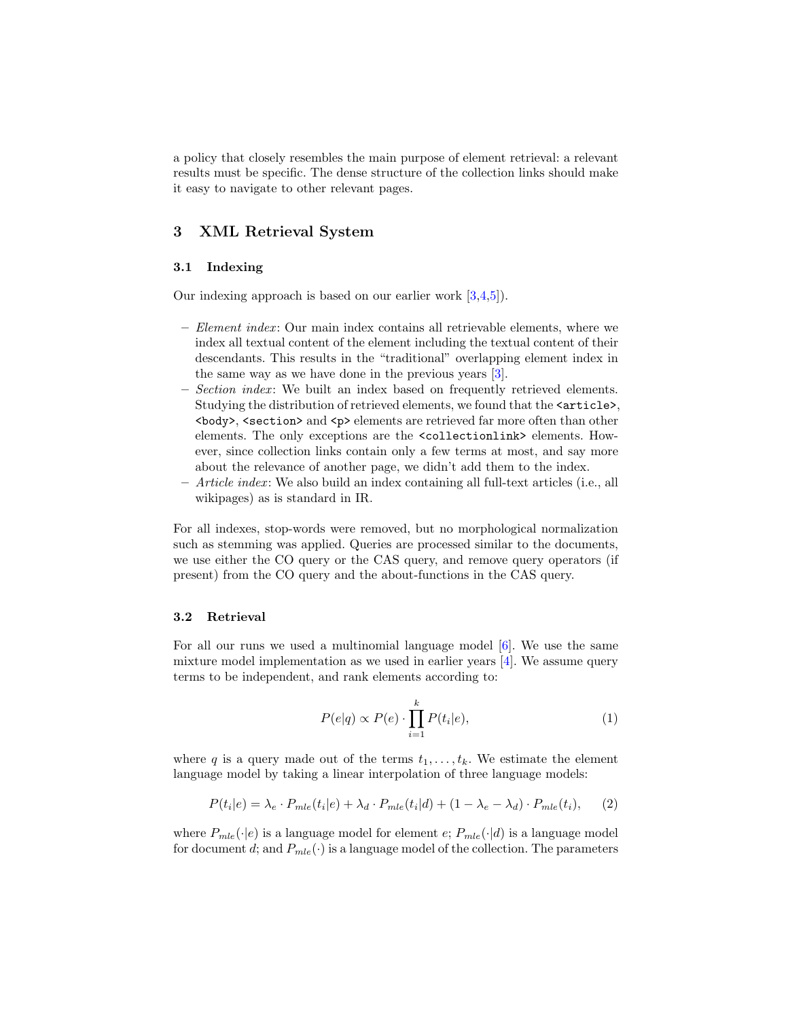a policy that closely resembles the main purpose of element retrieval: a relevant results must be specific. The dense structure of the collection links should make it easy to navigate to other relevant pages.

## <span id="page-3-0"></span>3 XML Retrieval System

## 3.1 Indexing

Our indexing approach is based on our earlier work [\[3](#page-11-2)[,4,](#page-11-3)[5\]](#page-11-4)).

- $-$  *Element index*: Our main index contains all retrievable elements, where we index all textual content of the element including the textual content of their descendants. This results in the "traditional" overlapping element index in the same way as we have done in the previous years [\[3\]](#page-11-2).
- Section index : We built an index based on frequently retrieved elements. Studying the distribution of retrieved elements, we found that the  $\langle$  article>.  $\langle \text{body} \rangle$ ,  $\langle \text{section} \rangle$  and  $\langle \text{p} \rangle$  elements are retrieved far more often than other elements. The only exceptions are the <collectionlink> elements. However, since collection links contain only a few terms at most, and say more about the relevance of another page, we didn't add them to the index.
- Article index : We also build an index containing all full-text articles (i.e., all wikipages) as is standard in IR.

For all indexes, stop-words were removed, but no morphological normalization such as stemming was applied. Queries are processed similar to the documents, we use either the CO query or the CAS query, and remove query operators (if present) from the CO query and the about-functions in the CAS query.

### 3.2 Retrieval

For all our runs we used a multinomial language model [\[6\]](#page-11-5). We use the same mixture model implementation as we used in earlier years  $\vert 4 \vert$ . We assume query terms to be independent, and rank elements according to:

$$
P(e|q) \propto P(e) \cdot \prod_{i=1}^{k} P(t_i|e), \tag{1}
$$

where q is a query made out of the terms  $t_1, \ldots, t_k$ . We estimate the element language model by taking a linear interpolation of three language models:

$$
P(t_i|e) = \lambda_e \cdot P_{mle}(t_i|e) + \lambda_d \cdot P_{mle}(t_i|d) + (1 - \lambda_e - \lambda_d) \cdot P_{mle}(t_i), \tag{2}
$$

where  $P_{mle}(\cdot|e)$  is a language model for element  $e$ ;  $P_{mle}(\cdot|d)$  is a language model for document d; and  $P_{mle}(\cdot)$  is a language model of the collection. The parameters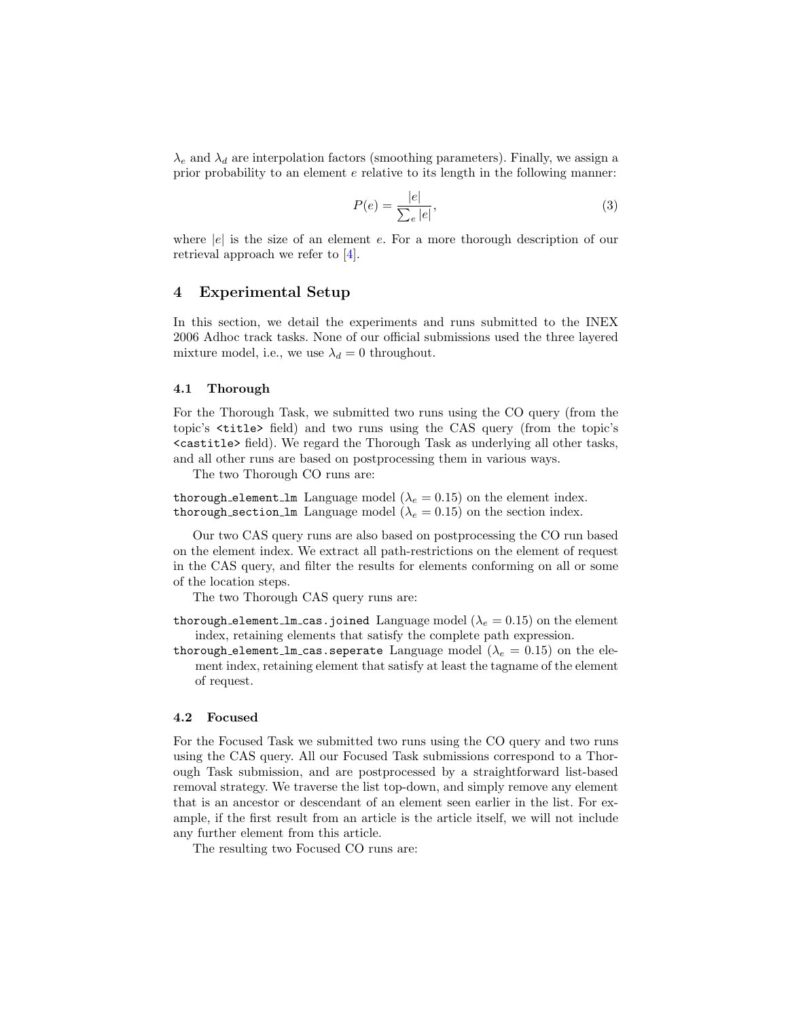$\lambda_e$  and  $\lambda_d$  are interpolation factors (smoothing parameters). Finally, we assign a prior probability to an element e relative to its length in the following manner:

$$
P(e) = \frac{|e|}{\sum_{e} |e|},\tag{3}
$$

where  $|e|$  is the size of an element e. For a more thorough description of our retrieval approach we refer to [\[4\]](#page-11-3).

## <span id="page-4-0"></span>4 Experimental Setup

In this section, we detail the experiments and runs submitted to the INEX 2006 Adhoc track tasks. None of our official submissions used the three layered mixture model, i.e., we use  $\lambda_d = 0$  throughout.

#### 4.1 Thorough

For the Thorough Task, we submitted two runs using the CO query (from the topic's <title> field) and two runs using the CAS query (from the topic's <castitle> field). We regard the Thorough Task as underlying all other tasks, and all other runs are based on postprocessing them in various ways.

The two Thorough CO runs are:

thorough element lm Language model ( $\lambda_e = 0.15$ ) on the element index. thorough section lm Language model ( $\lambda_e = 0.15$ ) on the section index.

Our two CAS query runs are also based on postprocessing the CO run based on the element index. We extract all path-restrictions on the element of request in the CAS query, and filter the results for elements conforming on all or some of the location steps.

The two Thorough CAS query runs are:

- thorough element lm cas.joined Language model  $(\lambda_e = 0.15)$  on the element index, retaining elements that satisfy the complete path expression.
- thorough element lm cas. seperate Language model ( $\lambda_e = 0.15$ ) on the element index, retaining element that satisfy at least the tagname of the element of request.

#### 4.2 Focused

For the Focused Task we submitted two runs using the CO query and two runs using the CAS query. All our Focused Task submissions correspond to a Thorough Task submission, and are postprocessed by a straightforward list-based removal strategy. We traverse the list top-down, and simply remove any element that is an ancestor or descendant of an element seen earlier in the list. For example, if the first result from an article is the article itself, we will not include any further element from this article.

The resulting two Focused CO runs are: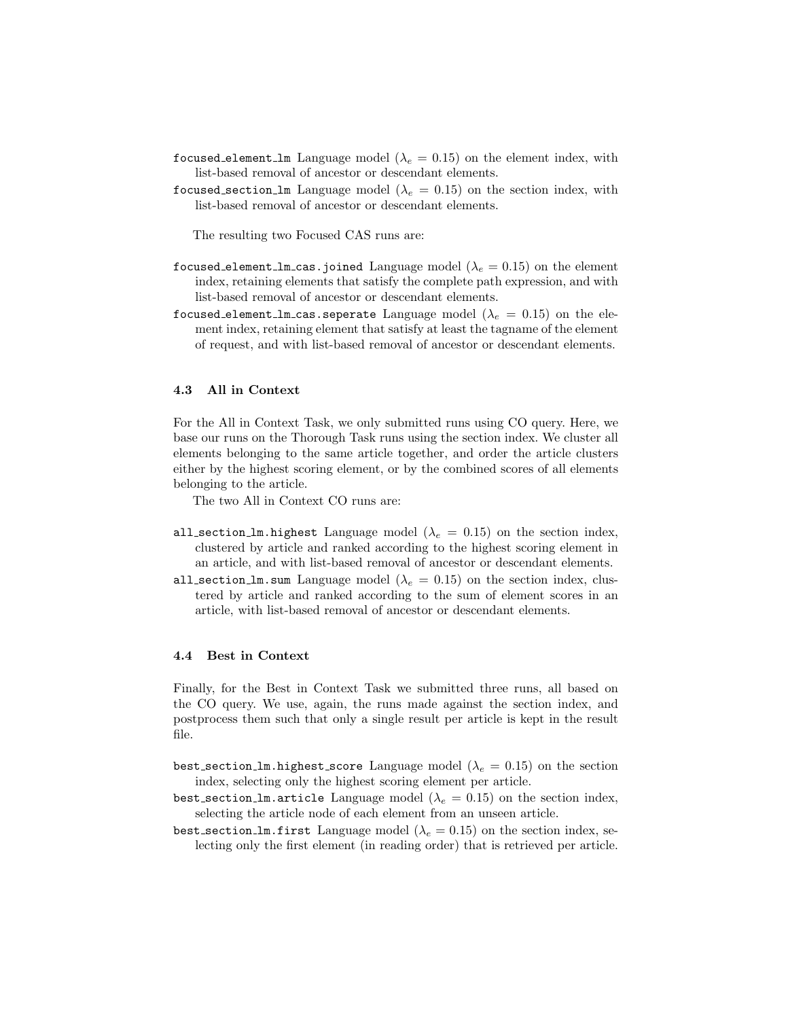- focused element lm Language model ( $\lambda_e = 0.15$ ) on the element index, with list-based removal of ancestor or descendant elements.
- focused section 1m Language model ( $\lambda_e = 0.15$ ) on the section index, with list-based removal of ancestor or descendant elements.

The resulting two Focused CAS runs are:

- focused element lm cas.joined Language model ( $\lambda_e = 0.15$ ) on the element index, retaining elements that satisfy the complete path expression, and with list-based removal of ancestor or descendant elements.
- focused element lm cas. seperate Language model  $(\lambda_e = 0.15)$  on the element index, retaining element that satisfy at least the tagname of the element of request, and with list-based removal of ancestor or descendant elements.

## 4.3 All in Context

For the All in Context Task, we only submitted runs using CO query. Here, we base our runs on the Thorough Task runs using the section index. We cluster all elements belonging to the same article together, and order the article clusters either by the highest scoring element, or by the combined scores of all elements belonging to the article.

The two All in Context CO runs are:

- all section lm.highest Language model ( $\lambda_e = 0.15$ ) on the section index, clustered by article and ranked according to the highest scoring element in an article, and with list-based removal of ancestor or descendant elements.
- all section lm.sum Language model ( $\lambda_e = 0.15$ ) on the section index, clustered by article and ranked according to the sum of element scores in an article, with list-based removal of ancestor or descendant elements.

## 4.4 Best in Context

Finally, for the Best in Context Task we submitted three runs, all based on the CO query. We use, again, the runs made against the section index, and postprocess them such that only a single result per article is kept in the result file.

- best section lm.highest score Language model ( $\lambda_e = 0.15$ ) on the section index, selecting only the highest scoring element per article.
- best section lm.article Language model  $(\lambda_e = 0.15)$  on the section index, selecting the article node of each element from an unseen article.
- best section lm.first Language model ( $\lambda_e = 0.15$ ) on the section index, selecting only the first element (in reading order) that is retrieved per article.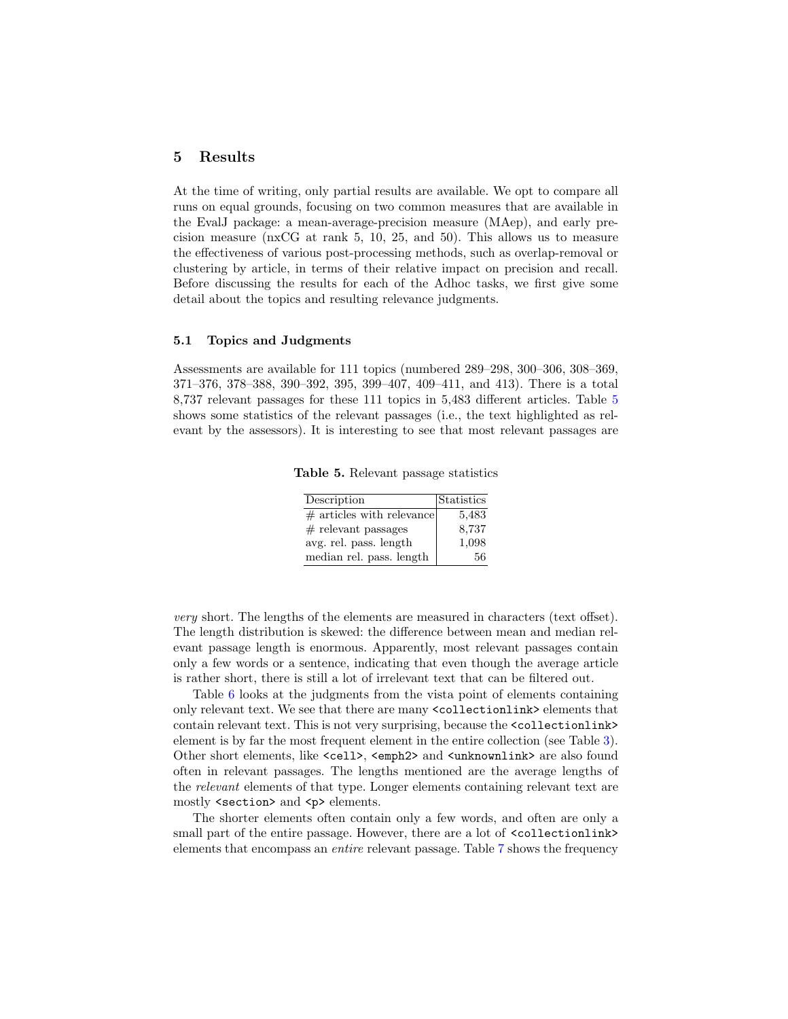## <span id="page-6-0"></span>5 Results

At the time of writing, only partial results are available. We opt to compare all runs on equal grounds, focusing on two common measures that are available in the EvalJ package: a mean-average-precision measure (MAep), and early precision measure (nxCG at rank 5, 10, 25, and 50). This allows us to measure the effectiveness of various post-processing methods, such as overlap-removal or clustering by article, in terms of their relative impact on precision and recall. Before discussing the results for each of the Adhoc tasks, we first give some detail about the topics and resulting relevance judgments.

### 5.1 Topics and Judgments

Assessments are available for 111 topics (numbered 289–298, 300–306, 308–369, 371–376, 378–388, 390–392, 395, 399–407, 409–411, and 413). There is a total 8,737 relevant passages for these 111 topics in 5,483 different articles. Table [5](#page-6-1) shows some statistics of the relevant passages (i.e., the text highlighted as relevant by the assessors). It is interesting to see that most relevant passages are

Table 5. Relevant passage statistics

<span id="page-6-1"></span>

| Description                 | Statistics |
|-----------------------------|------------|
| $#$ articles with relevance | 5,483      |
| $#$ relevant passages       | 8,737      |
| avg. rel. pass. length      | 1,098      |
| median rel. pass. length    | 56         |

very short. The lengths of the elements are measured in characters (text offset). The length distribution is skewed: the difference between mean and median relevant passage length is enormous. Apparently, most relevant passages contain only a few words or a sentence, indicating that even though the average article is rather short, there is still a lot of irrelevant text that can be filtered out.

Table [6](#page-7-0) looks at the judgments from the vista point of elements containing only relevant text. We see that there are many <collectionlink> elements that contain relevant text. This is not very surprising, because the <collectionlink> element is by far the most frequent element in the entire collection (see Table [3\)](#page-2-0). Other short elements, like <cell>, <emph2> and <unknownlink> are also found often in relevant passages. The lengths mentioned are the average lengths of the relevant elements of that type. Longer elements containing relevant text are mostly <section> and <p> elements.

The shorter elements often contain only a few words, and often are only a small part of the entire passage. However, there are a lot of <collectionlink> elements that encompass an entire relevant passage. Table [7](#page-7-1) shows the frequency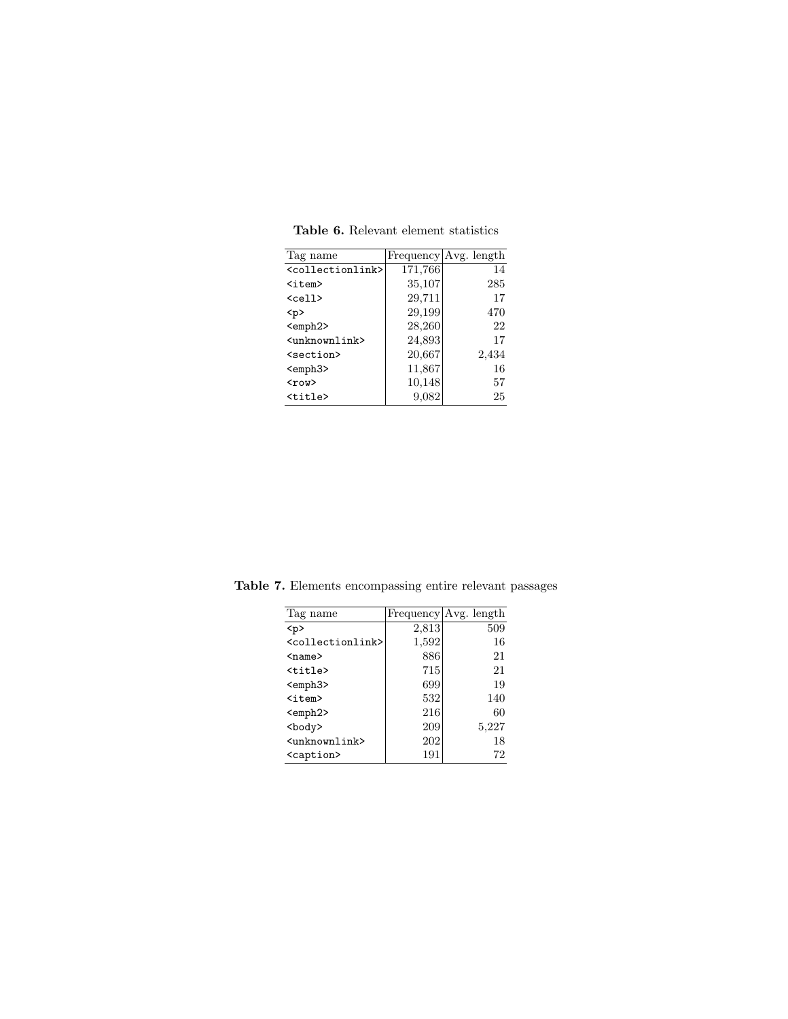| Tag name                          |         | Frequency Avg. length |
|-----------------------------------|---------|-----------------------|
| <collectionlink></collectionlink> | 171,766 | 14                    |
| $\texttt{item}$                   | 35,107  | 285                   |
| $\langle$ cell $\rangle$          | 29,711  | 17                    |
| < p >                             | 29,199  | 470                   |
| <emph2></emph2>                   | 28,260  | 22                    |
| <unknownlink></unknownlink>       | 24,893  | 17                    |
| <section></section>               | 20,667  | 2,434                 |
| <emph3></emph3>                   | 11,867  | 16                    |
| $<$ row $>$                       | 10,148  | 57                    |
| <title></title>                   | 9,082   | 25                    |

<span id="page-7-0"></span>Table 6. Relevant element statistics

<span id="page-7-1"></span>

| Tag name                          |       | Frequency   Avg. length |
|-----------------------------------|-------|-------------------------|
| < p >                             | 2,813 | 509                     |
| <collectionlink></collectionlink> | 1,592 | 16                      |
| $name$                            | 886   | 21                      |
| $<$ title $>$                     | 715   | 21                      |
| <emph3></emph3>                   | 699   | 19                      |
| $\langle$ item $\rangle$          | 532   | 140                     |
| <emph2></emph2>                   | 216   | 60                      |
| <body></body>                     | 209   | 5,227                   |
| <unknownlink></unknownlink>       | 202   | 18                      |
| <caption></caption>               | 191   | 72                      |

Table 7. Elements encompassing entire relevant passages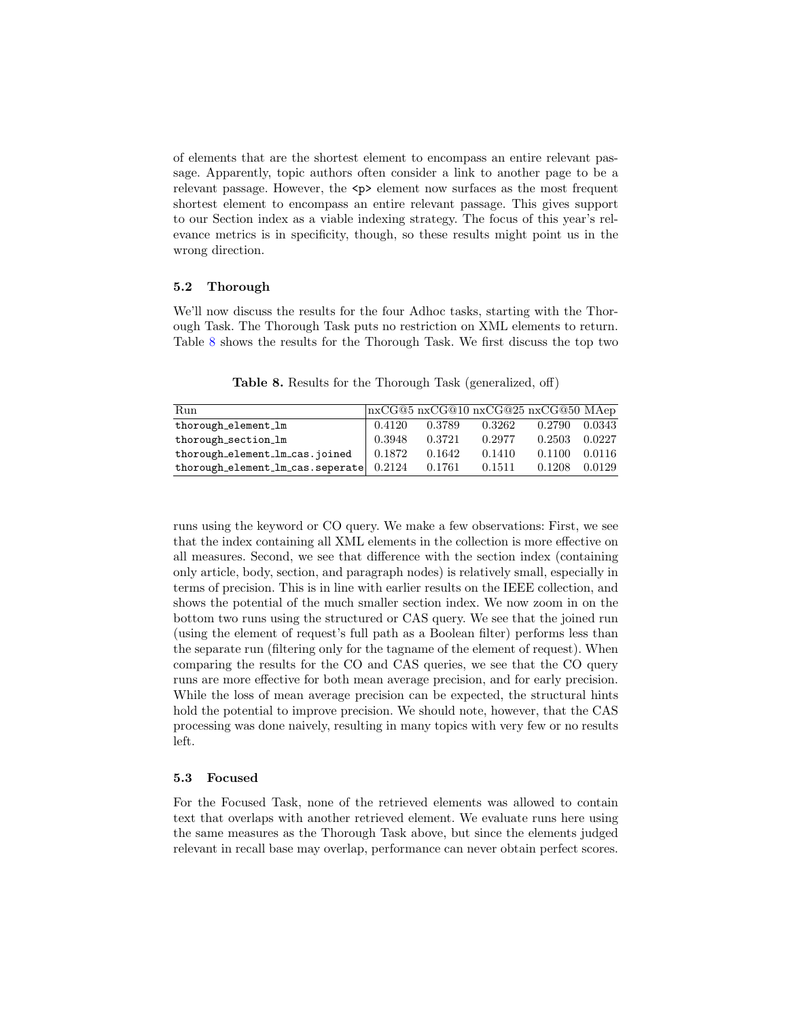of elements that are the shortest element to encompass an entire relevant passage. Apparently, topic authors often consider a link to another page to be a relevant passage. However, the  $\langle p \rangle$  element now surfaces as the most frequent shortest element to encompass an entire relevant passage. This gives support to our Section index as a viable indexing strategy. The focus of this year's relevance metrics is in specificity, though, so these results might point us in the wrong direction.

#### 5.2 Thorough

We'll now discuss the results for the four Adhoc tasks, starting with the Thorough Task. The Thorough Task puts no restriction on XML elements to return. Table [8](#page-8-0) shows the results for the Thorough Task. We first discuss the top two

Run nxCG@5 nxCG@10 nxCG@25 nxCG@50 MAep thorough element lm 0.4120 0.3789 0.3262 0.2790 0.0343 thorough section lm 0.3948 0.3721 0.2977 0.2503 0.0227 thorough element lm cas.joined  $0.1872$   $0.1642$   $0.1410$   $0.1100$   $0.0116$ thorough element lm cas. seperate  $0.2124$   $0.1761$   $0.1511$   $0.1208$   $0.0129$ 

<span id="page-8-0"></span>Table 8. Results for the Thorough Task (generalized, off)

runs using the keyword or CO query. We make a few observations: First, we see that the index containing all XML elements in the collection is more effective on all measures. Second, we see that difference with the section index (containing only article, body, section, and paragraph nodes) is relatively small, especially in terms of precision. This is in line with earlier results on the IEEE collection, and shows the potential of the much smaller section index. We now zoom in on the bottom two runs using the structured or CAS query. We see that the joined run (using the element of request's full path as a Boolean filter) performs less than the separate run (filtering only for the tagname of the element of request). When comparing the results for the CO and CAS queries, we see that the CO query runs are more effective for both mean average precision, and for early precision. While the loss of mean average precision can be expected, the structural hints hold the potential to improve precision. We should note, however, that the CAS processing was done naively, resulting in many topics with very few or no results left.

### 5.3 Focused

For the Focused Task, none of the retrieved elements was allowed to contain text that overlaps with another retrieved element. We evaluate runs here using the same measures as the Thorough Task above, but since the elements judged relevant in recall base may overlap, performance can never obtain perfect scores.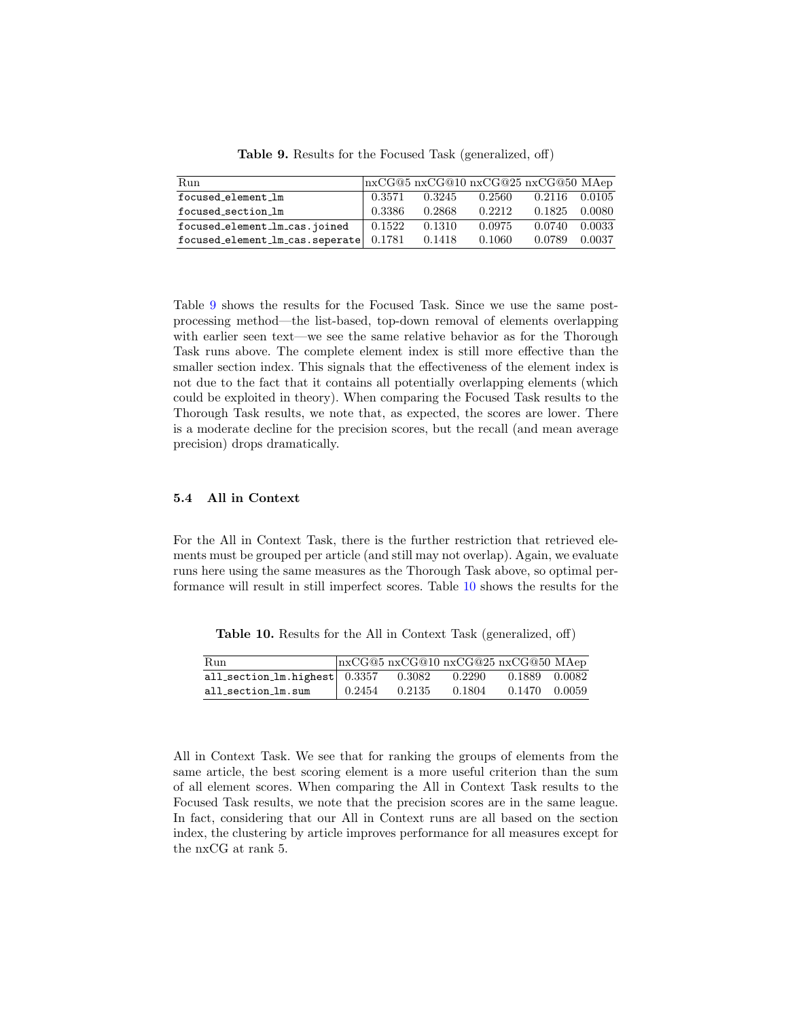| Run                                          |        |        | $\ln xCG@5 \text{ n}xCG@10 \text{ n}xCG@25 \text{ n}xCG@50 \text{ MAep}$ |               |        |
|----------------------------------------------|--------|--------|--------------------------------------------------------------------------|---------------|--------|
| focused_element_lm                           | 0.3571 | 0.3245 | 0.2560                                                                   | 0.2116 0.0105 |        |
| focused_section_1m                           | 0.3386 | 0.2868 | 0.2212                                                                   | 0.1825        | 0.0080 |
| focused_element_lm_cas.joined                | 0.1522 | 0.1310 | 0.0975                                                                   | 0.0740        | 0.0033 |
| $focused_element_lm_cas.\nseparate$ $0.1781$ |        | 0.1418 | 0.1060                                                                   | 0.0789        | 0.0037 |

<span id="page-9-0"></span>Table 9. Results for the Focused Task (generalized, off)

Table [9](#page-9-0) shows the results for the Focused Task. Since we use the same postprocessing method—the list-based, top-down removal of elements overlapping with earlier seen text—we see the same relative behavior as for the Thorough Task runs above. The complete element index is still more effective than the smaller section index. This signals that the effectiveness of the element index is not due to the fact that it contains all potentially overlapping elements (which could be exploited in theory). When comparing the Focused Task results to the Thorough Task results, we note that, as expected, the scores are lower. There is a moderate decline for the precision scores, but the recall (and mean average precision) drops dramatically.

#### 5.4 All in Context

For the All in Context Task, there is the further restriction that retrieved elements must be grouped per article (and still may not overlap). Again, we evaluate runs here using the same measures as the Thorough Task above, so optimal performance will result in still imperfect scores. Table [10](#page-9-1) shows the results for the

<span id="page-9-1"></span>Table 10. Results for the All in Context Task (generalized, off)

| Run                                    |                      | $n \times CG@5$ nxCG@10 nxCG@25 nxCG@50 MAep |        |               |  |
|----------------------------------------|----------------------|----------------------------------------------|--------|---------------|--|
| all_section_1m.highest $0.3357$ 0.3082 |                      |                                              | 0.2290 | 0.1889 0.0082 |  |
| all_section_lm.sum                     | $\frac{1}{2}$ 0.2454 | 0.2135                                       | 0.1804 | 0.1470 0.0059 |  |

All in Context Task. We see that for ranking the groups of elements from the same article, the best scoring element is a more useful criterion than the sum of all element scores. When comparing the All in Context Task results to the Focused Task results, we note that the precision scores are in the same league. In fact, considering that our All in Context runs are all based on the section index, the clustering by article improves performance for all measures except for the nxCG at rank 5.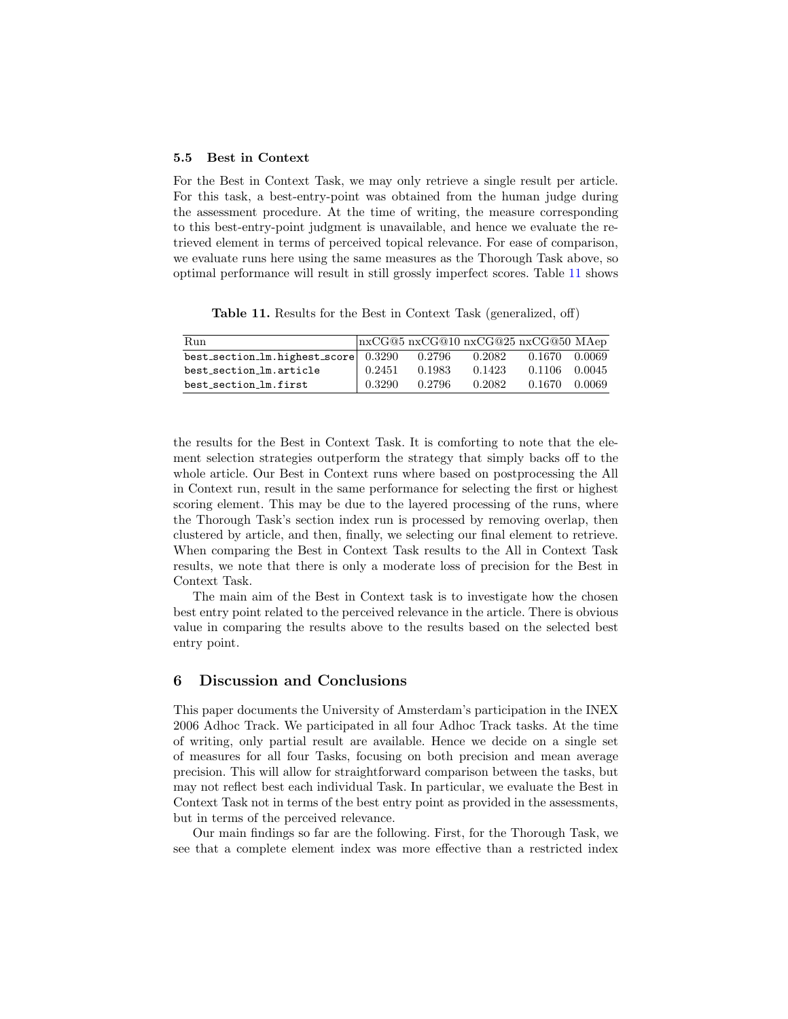### 5.5 Best in Context

For the Best in Context Task, we may only retrieve a single result per article. For this task, a best-entry-point was obtained from the human judge during the assessment procedure. At the time of writing, the measure corresponding to this best-entry-point judgment is unavailable, and hence we evaluate the retrieved element in terms of perceived topical relevance. For ease of comparison, we evaluate runs here using the same measures as the Thorough Task above, so optimal performance will result in still grossly imperfect scores. Table [11](#page-10-1) shows

<span id="page-10-1"></span>Table 11. Results for the Best in Context Task (generalized, off)

| Run                                  |        |        |        | $\ln xCG@5 \text{ n}xCG@10 \text{ n}xCG@25 \text{ n}xCG@50 \text{ MAep}$ |        |
|--------------------------------------|--------|--------|--------|--------------------------------------------------------------------------|--------|
| best_section_1m.highest_score 0.3290 |        | 0.2796 | 0.2082 | 0.1670                                                                   | 0.0069 |
| best_section_lm.article              | 0.2451 | 0.1983 | 0.1423 | 0.1106                                                                   | 0.0045 |
| best_section_lm.first                | 0.3290 | 0.2796 | 0.2082 | 0.1670                                                                   | 0.0069 |

the results for the Best in Context Task. It is comforting to note that the element selection strategies outperform the strategy that simply backs off to the whole article. Our Best in Context runs where based on postprocessing the All in Context run, result in the same performance for selecting the first or highest scoring element. This may be due to the layered processing of the runs, where the Thorough Task's section index run is processed by removing overlap, then clustered by article, and then, finally, we selecting our final element to retrieve. When comparing the Best in Context Task results to the All in Context Task results, we note that there is only a moderate loss of precision for the Best in Context Task.

The main aim of the Best in Context task is to investigate how the chosen best entry point related to the perceived relevance in the article. There is obvious value in comparing the results above to the results based on the selected best entry point.

### <span id="page-10-0"></span>6 Discussion and Conclusions

This paper documents the University of Amsterdam's participation in the INEX 2006 Adhoc Track. We participated in all four Adhoc Track tasks. At the time of writing, only partial result are available. Hence we decide on a single set of measures for all four Tasks, focusing on both precision and mean average precision. This will allow for straightforward comparison between the tasks, but may not reflect best each individual Task. In particular, we evaluate the Best in Context Task not in terms of the best entry point as provided in the assessments, but in terms of the perceived relevance.

Our main findings so far are the following. First, for the Thorough Task, we see that a complete element index was more effective than a restricted index